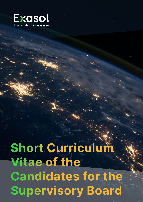

**Short Curriculum<br>Vitae of the<br>Candidates for the<br>Supervisory Board**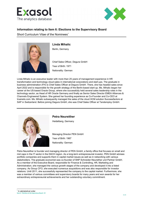



## **Information relating to Item 6: Elections to the Supervisory Board**

Short Curriculum Vitae of the Nominees<sup>[\\*](#page-1-0)</sup>



## **Linda Mihalic**

Berlin, Germany

Chief Sales Officer, Degura GmbH Year of Birth: 1971 Nationality: German

Linda Mihalic is an executive leader with more than 25 years of management experience in HR transformation and technology cloud sales in international corporations and start-ups. The graduate in business administration (FH) is Chief Sales Officer at Degura GmbH. There, she has headed sales since April 2022 and is responsible for the growth strategy of the Berlin-based start-up. Ms. Mihalic began her career at the US-based Oracle Group, where she successfully held several sales leadership roles in the technology sector, as Head of HR Oracle Germany and finally as Senior Sales Director EMEA Alliances & Channels Engineered System. She gained her founding experience as Co-Founder and Co-CEO at trueredo.com. Ms. Mihalic subsequently managed the sales of the cloud HCM solution Successfactors at SAP in Switzerland. Before joining Degura GmbH, she was Chief Sales Officer at Tandemploy GmbH.



**Petra Neureither** Heidelberg, Germany

Managing Director PEN GmbH Year of Birth: 1967 Nationality: German

Petra Neureither is founder and managing director of PEN GmbH, a family office that focuses on small and mid caps in the IT sector in the DACH region. As a long-term entrepreneurial investor, PEN GmbH advises portfolio companies and supports them in capital market issues as well as in networking with various stakeholders. The graduate economist was co-founder of SNP Schneider-Neureither und Partner GmbH. As a member of the Executive Board, responsible for Finance & Controlling, HR, Marketing and Administration, she managed the various growth stages of the company and developed it into a listed company. As Group CFO, she executed numerous acquisitions and was also responsible for investor relations. Until 2011, she successfully represented the company to the capital market. Furthermore, she was a member of various committees and supervisory boards for many years and won awards for her extraordinary entrepreneurial achievements and her outstanding voluntary commitment.

<span id="page-1-0"></span>\* In alphabetical order

**Item 6 – Elections to the Supervisory Board - CV**